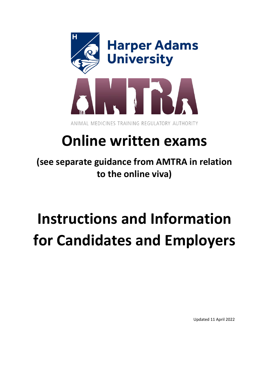

## **Online written exams**

**(see separate guidance from AMTRA in relation to the online viva)**

# **Instructions and Information for Candidates and Employers**

Updated 11 April 2022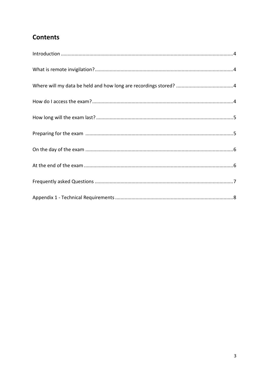## **Contents**

<span id="page-1-0"></span>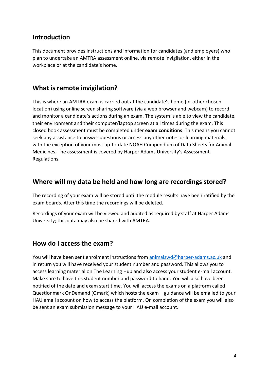### **Introduction**

This document provides instructions and information for candidates (and employers) who plan to undertake an AMTRA assessment online, via remote invigilation, either in the workplace or at the candidate's home.

## <span id="page-2-0"></span>**What is remote invigilation?**

This is where an AMTRA exam is carried out at the candidate's home (or other chosen location) using online screen sharing software (via a web browser and webcam) to record and monitor a candidate's actions during an exam. The system is able to view the candidate, their environment and their computer/laptop screen at all times during the exam. This closed book assessment must be completed under **exam conditions**. This means you cannot seek any assistance to answer questions or access any other notes or learning materials, with the exception of your most up-to-date NOAH Compendium of Data Sheets for Animal Medicines. The assessment is covered by Harper Adams University's Assessment Regulations.

## <span id="page-2-1"></span>**Where will my data be held and how long are recordings stored?**

The recording of your exam will be stored until the module results have been ratified by the exam boards. After this time the recordings will be deleted.

Recordings of your exam will be viewed and audited as required by staff at Harper Adams University; this data may also be shared with AMTRA.

## <span id="page-2-2"></span>**How do I access the exam?**

You will have been sent enrolment instructions from [animalswd@harper-adams.ac.uk](mailto:animalswd@harper-adams.ac.uk) and in return you will have received your student number and password. This allows you to access learning material on The Learning Hub and also access your student e-mail account. Make sure to have this student number and password to hand. You will also have been notified of the date and exam start time. You will access the exams on a platform called Questionmark OnDemand (Qmark) which hosts the exam – guidance will be emailed to your HAU email account on how to access the platform. On completion of the exam you will also be sent an exam submission message to your HAU e-mail account.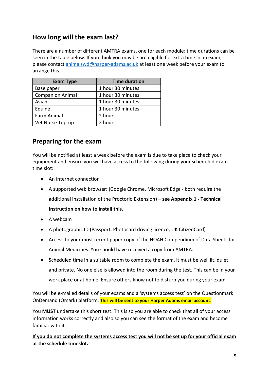## <span id="page-3-0"></span>**How long will the exam last?**

There are a number of different AMTRA exams, one for each module; time durations can be seen in the table below. If you think you may be are eligible for extra time in an exam, please contact [animalswd@harper-adams.ac.uk](mailto:animalswd@harper-adams.ac.uk) at least one week before your exam to arrange this.

| <b>Exam Type</b>        | <b>Time duration</b> |
|-------------------------|----------------------|
| Base paper              | 1 hour 30 minutes    |
| <b>Companion Animal</b> | 1 hour 30 minutes    |
| Avian                   | 1 hour 30 minutes    |
| Equine                  | 1 hour 30 minutes    |
| Farm Animal             | 2 hours              |
| Vet Nurse Top-up        | 2 hours              |

## <span id="page-3-1"></span>**Preparing for the exam**

You will be notified at least a week before the exam is due to take place to check your equipment and ensure you will have access to the following during your scheduled exam time slot:

- An internet connection
- A supported web browser: (Google Chrome, Microsoft Edge both require the additional installation of the Proctorio Extension) **– see Appendix 1 - Technical Instruction on how to install this.**
- A webcam
- A photographic ID (Passport, Photocard driving licence, UK CitizenCard)
- Access to your most recent paper copy of the NOAH Compendium of Data Sheets for Animal Medicines. You should have received a copy from AMTRA.
- Scheduled time in a suitable room to complete the exam, it must be well lit, quiet and private. No one else is allowed into the room during the test. This can be in your work place or at home. Ensure others know not to disturb you during your exam.

You will be e-mailed details of your exams and a 'systems access test' on the Questionmark OnDemand (Qmark) platform. **This will be sent to your Harper Adams email account**.

You **MUST** undertake this short test. This is so you are able to check that all of your access information works correctly and also so you can see the format of the exam and become familiar with it.

**If you do not complete the systems access test you will not be set up for your official exam at the schedule timeslot.**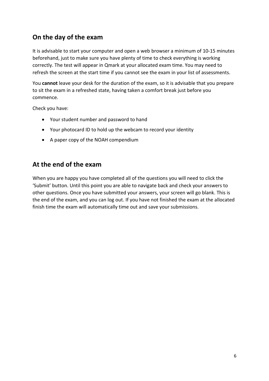## <span id="page-4-0"></span>**On the day of the exam**

It is advisable to start your computer and open a web browser a minimum of 10-15 minutes beforehand, just to make sure you have plenty of time to check everything is working correctly. The test will appear in Qmark at your allocated exam time. You may need to refresh the screen at the start time if you cannot see the exam in your list of assessments.

You **cannot** leave your desk for the duration of the exam, so it is advisable that you prepare to sit the exam in a refreshed state, having taken a comfort break just before you commence.

Check you have:

- Your student number and password to hand
- Your photocard ID to hold up the webcam to record your identity
- A paper copy of the NOAH compendium

## <span id="page-4-1"></span>**At the end of the exam**

<span id="page-4-2"></span>When you are happy you have completed all of the questions you will need to click the 'Submit' button. Until this point you are able to navigate back and check your answers to other questions. Once you have submitted your answers, your screen will go blank. This is the end of the exam, and you can log out. If you have not finished the exam at the allocated finish time the exam will automatically time out and save your submissions.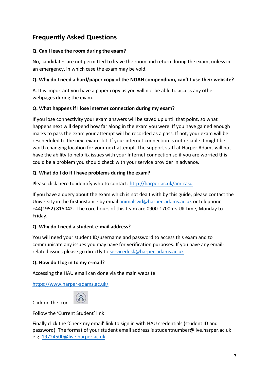## **Frequently Asked Questions**

#### **Q. Can I leave the room during the exam?**

No, candidates are not permitted to leave the room and return during the exam, unless in an emergency, in which case the exam may be void.

#### **Q. Why do I need a hard/paper copy of the NOAH compendium, can't I use their website?**

A. It is important you have a paper copy as you will not be able to access any other webpages during the exam.

#### **Q. What happens if I lose internet connection during my exam?**

If you lose connectivity your exam answers will be saved up until that point, so what happens next will depend how far along in the exam you were. If you have gained enough marks to pass the exam your attempt will be recorded as a pass. If not, your exam will be rescheduled to the next exam slot. If your internet connection is not reliable it might be worth changing location for your next attempt. The support staff at Harper Adams will not have the ability to help fix issues with your Internet connection so if you are worried this could be a problem you should check with your service provider in advance.

#### **Q. What do I do if I have problems during the exam?**

Please click here to identify who to contact:<http://harper.ac.uk/amtrasq>

If you have a query about the exam which is not dealt with by this guide, please contact the University in the first instance by email [animalswd@harper-adams.ac.uk](mailto:animalswd@harper-adams.ac.uk) or telephone +44(1952) 815042.  The core hours of this team are 0900-1700hrs UK time, Monday to Friday.

#### **Q. Why do I need a student e-mail address?**

You will need your student ID/username and password to access this exam and to communicate any issues you may have for verification purposes. If you have any emailrelated issues please go directly to [servicedesk@harper-adams.ac.uk](mailto:servicedesk@harper-adams.ac.uk)

#### **Q. How do I log in to my e-mail?**

Accessing the HAU email can done via the main website:

<https://www.harper-adams.ac.uk/>

<span id="page-5-0"></span>

Follow the 'Current Student' link

Click on the icon

Finally click the 'Check my email' link to sign in with HAU credentials (student ID and password). The format of your student email address is studentnumber@live.harper.ac.uk e.g. [19724500@live.harper.ac.uk](mailto:19724500@live.harper.ac.uk)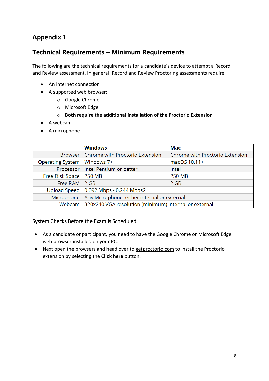## **Appendix 1**

## **Technical Requirements – Minimum Requirements**

The following are the technical requirements for a candidate's device to attempt a Record and Review assessment. In general, Record and Review Proctoring assessments require:

- An internet connection
- A supported web browser:
	- o Google Chrome
	- o Microsoft Edge
	- o **Both require the additional installation of the Proctorio Extension**
- A webcam
- A microphone

|                               | <b>Windows</b>                                                 | Mac                             |  |
|-------------------------------|----------------------------------------------------------------|---------------------------------|--|
|                               | Browser   Chrome with Proctorio Extension                      | Chrome with Proctorio Extension |  |
| Operating System   Windows 7+ |                                                                | macOS 10.11+                    |  |
|                               | Processor   Intel Pentium or better                            | Intel                           |  |
| Free Disk Space   250 MB      |                                                                | <b>250 MB</b>                   |  |
| Free RAM 2 GB1                |                                                                | 2 GB1                           |  |
|                               | Upload Speed $\vert$ 0.092 Mbps - 0.244 Mbps2                  |                                 |  |
|                               | Microphone   Any Microphone, either internal or external       |                                 |  |
|                               | Webcam   320x240 VGA resolution (minimum) internal or external |                                 |  |

#### System Checks Before the Exam is Scheduled

- As a candidate or participant, you need to have the Google Chrome or Microsoft Edge web browser installed on your PC.
- Next open the browsers and head over to [getproctorio.com](https://getproctorio.com/) to install the Proctorio extension by selecting the **Click here** button.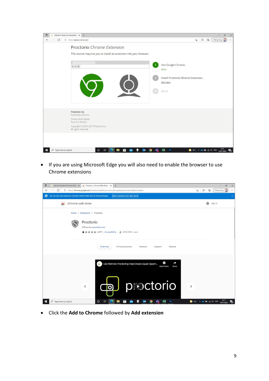| Get the Proctorio Chrome Exter x +<br>$\blacksquare$<br>$\overline{a}$                                                                            | $\sigma$<br>$\times$                                                                                                                                          |
|---------------------------------------------------------------------------------------------------------------------------------------------------|---------------------------------------------------------------------------------------------------------------------------------------------------------------|
| https://getproctorio.com<br>G<br>$\leftarrow$                                                                                                     | Not syncing<br>$\oplus$<br>ู่ร้≡<br>$\sqrt{2}$<br>$\cdots$                                                                                                    |
| Proctorio Chrome Extension<br>This course requires you to install an extension into your browser.<br>$\leftrightarrow$ + C                        | Use Google Chrome.<br>done.<br>Install Proctorio Chrome Extension.<br>click here<br>Done!                                                                     |
| Proctorio Inc.<br>Scottsdale, Arizona.<br>Privacy and Cookies<br>Terms of Service<br>Copyright © 2013-2017 Proctorio inc.<br>All rights reserved. |                                                                                                                                                               |
| ē<br>$O$ Type here to search<br>$\Box$<br><b>No.</b><br>$\circ$<br>$0\overline{2}$<br>н<br>O<br><b>Page</b><br>$\bullet$<br>N                     | 14:16<br>$x \frac{m}{2}$<br>$4^{\circ}C$ $\wedge$ $\blacksquare$ $\blacksquare$ $\blacksquare$ $\blacksquare$ $\Box$ ENG<br>P <sub>5</sub><br>物<br>14/01/2022 |

• If you are using Microsoft Edge you will also need to enable the browser to use Chrome extensions



• Click the **Add to Chrome** followed by **Add extension**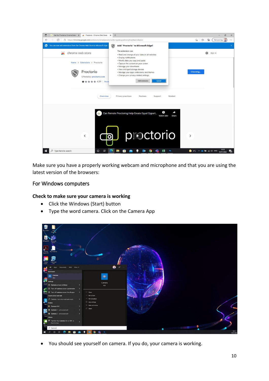

Make sure you have a properly working webcam and microphone and that you are using the latest version of the browsers:

#### For Windows computers

#### **Check to make sure your camera is working**

- Click the Windows (Start) button
- Type the word camera. Click on the Camera App



• You should see yourself on camera. If you do, your camera is working.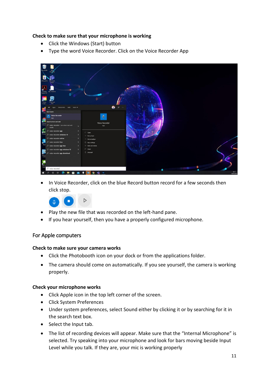#### **Check to make sure that your microphone is working**

- Click the Windows (Start) button
- Type the word Voice Recorder. Click on the Voice Recorder App



In Voice Recorder, click on the blue Record button record for a few seconds then click stop.



- Play the new file that was recorded on the left-hand pane.
- If you hear yourself, then you have a properly configured microphone.

#### For Apple computers

#### **Check to make sure your camera works**

- Click the Photobooth icon on your dock or from the applications folder.
- The camera should come on automatically. If you see yourself, the camera is working properly.

#### **Check your microphone works**

- Click Apple icon in the top left corner of the screen.
- Click System Preferences
- Under system preferences, select Sound either by clicking it or by searching for it in the search text box.
- Select the Input tab.
- The list of recording devices will appear. Make sure that the "Internal Microphone" is selected. Try speaking into your microphone and look for bars moving beside Input Level while you talk. If they are, your mic is working properly